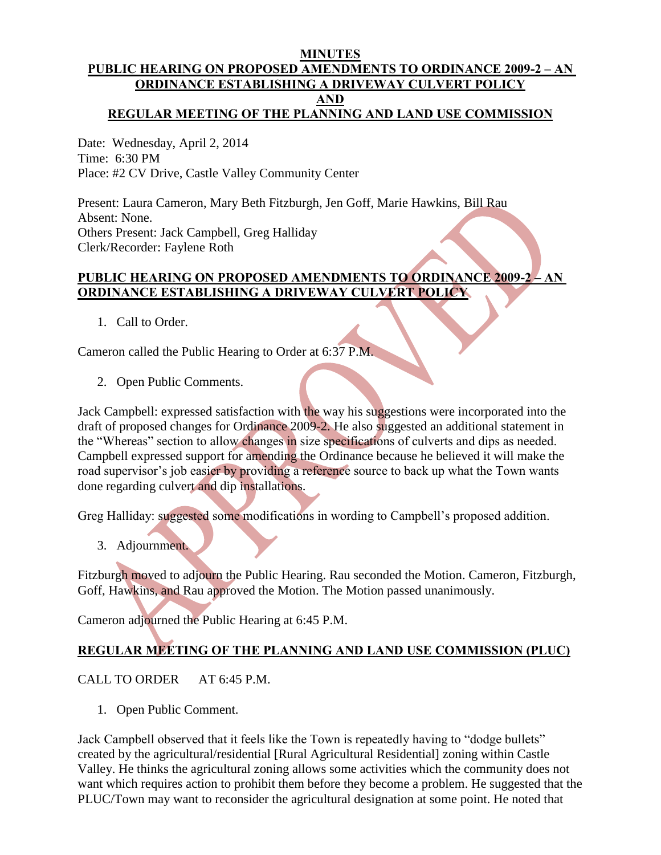#### **MINUTES PUBLIC HEARING ON PROPOSED AMENDMENTS TO ORDINANCE 2009-2 – AN ORDINANCE ESTABLISHING A DRIVEWAY CULVERT POLICY AND REGULAR MEETING OF THE PLANNING AND LAND USE COMMISSION**

Date: Wednesday, April 2, 2014 Time: 6:30 PM Place: #2 CV Drive, Castle Valley Community Center

Present: Laura Cameron, Mary Beth Fitzburgh, Jen Goff, Marie Hawkins, Bill Rau Absent: None. Others Present: Jack Campbell, Greg Halliday Clerk/Recorder: Faylene Roth

## **PUBLIC HEARING ON PROPOSED AMENDMENTS TO ORDINANCE 2009-2 – AN ORDINANCE ESTABLISHING A DRIVEWAY CULVERT POLICY**

1. Call to Order.

Cameron called the Public Hearing to Order at 6:37 P.M.

2. Open Public Comments.

Jack Campbell: expressed satisfaction with the way his suggestions were incorporated into the draft of proposed changes for Ordinance 2009-2. He also suggested an additional statement in the "Whereas" section to allow changes in size specifications of culverts and dips as needed. Campbell expressed support for amending the Ordinance because he believed it will make the road supervisor's job easier by providing a reference source to back up what the Town wants done regarding culvert and dip installations.

Greg Halliday: suggested some modifications in wording to Campbell's proposed addition.

3. Adjournment.

Fitzburgh moved to adjourn the Public Hearing. Rau seconded the Motion. Cameron, Fitzburgh, Goff, Hawkins, and Rau approved the Motion. The Motion passed unanimously.

Cameron adjourned the Public Hearing at 6:45 P.M.

# **REGULAR MEETING OF THE PLANNING AND LAND USE COMMISSION (PLUC)**

## CALL TO ORDER AT 6:45 P.M.

1. Open Public Comment.

Jack Campbell observed that it feels like the Town is repeatedly having to "dodge bullets" created by the agricultural/residential [Rural Agricultural Residential] zoning within Castle Valley. He thinks the agricultural zoning allows some activities which the community does not want which requires action to prohibit them before they become a problem. He suggested that the PLUC/Town may want to reconsider the agricultural designation at some point. He noted that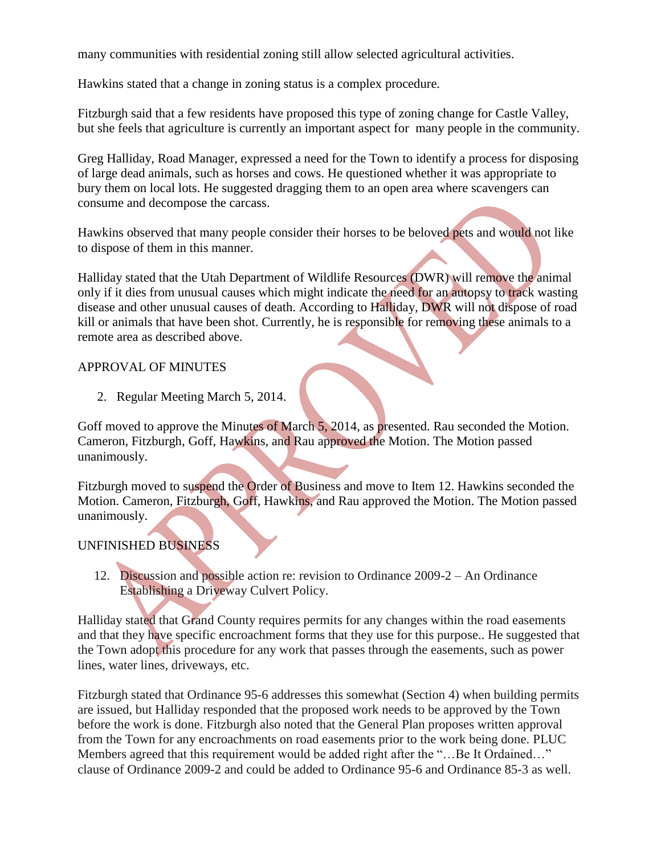many communities with residential zoning still allow selected agricultural activities.

Hawkins stated that a change in zoning status is a complex procedure.

Fitzburgh said that a few residents have proposed this type of zoning change for Castle Valley, but she feels that agriculture is currently an important aspect for many people in the community.

Greg Halliday, Road Manager, expressed a need for the Town to identify a process for disposing of large dead animals, such as horses and cows. He questioned whether it was appropriate to bury them on local lots. He suggested dragging them to an open area where scavengers can consume and decompose the carcass.

Hawkins observed that many people consider their horses to be beloved pets and would not like to dispose of them in this manner.

Halliday stated that the Utah Department of Wildlife Resources (DWR) will remove the animal only if it dies from unusual causes which might indicate the need for an autopsy to track wasting disease and other unusual causes of death. According to Halliday, DWR will not dispose of road kill or animals that have been shot. Currently, he is responsible for removing these animals to a remote area as described above.

## APPROVAL OF MINUTES

2. Regular Meeting March 5, 2014.

Goff moved to approve the Minutes of March 5, 2014, as presented. Rau seconded the Motion. Cameron, Fitzburgh, Goff, Hawkins, and Rau approved the Motion. The Motion passed unanimously.

Fitzburgh moved to suspend the Order of Business and move to Item 12. Hawkins seconded the Motion. Cameron, Fitzburgh, Goff, Hawkins, and Rau approved the Motion. The Motion passed unanimously.

## UNFINISHED BUSINESS

 12. Discussion and possible action re: revision to Ordinance 2009-2 – An Ordinance Establishing a Driveway Culvert Policy.

Halliday stated that Grand County requires permits for any changes within the road easements and that they have specific encroachment forms that they use for this purpose.. He suggested that the Town adopt this procedure for any work that passes through the easements, such as power lines, water lines, driveways, etc.

Fitzburgh stated that Ordinance 95-6 addresses this somewhat (Section 4) when building permits are issued, but Halliday responded that the proposed work needs to be approved by the Town before the work is done. Fitzburgh also noted that the General Plan proposes written approval from the Town for any encroachments on road easements prior to the work being done. PLUC Members agreed that this requirement would be added right after the "…Be It Ordained…" clause of Ordinance 2009-2 and could be added to Ordinance 95-6 and Ordinance 85-3 as well.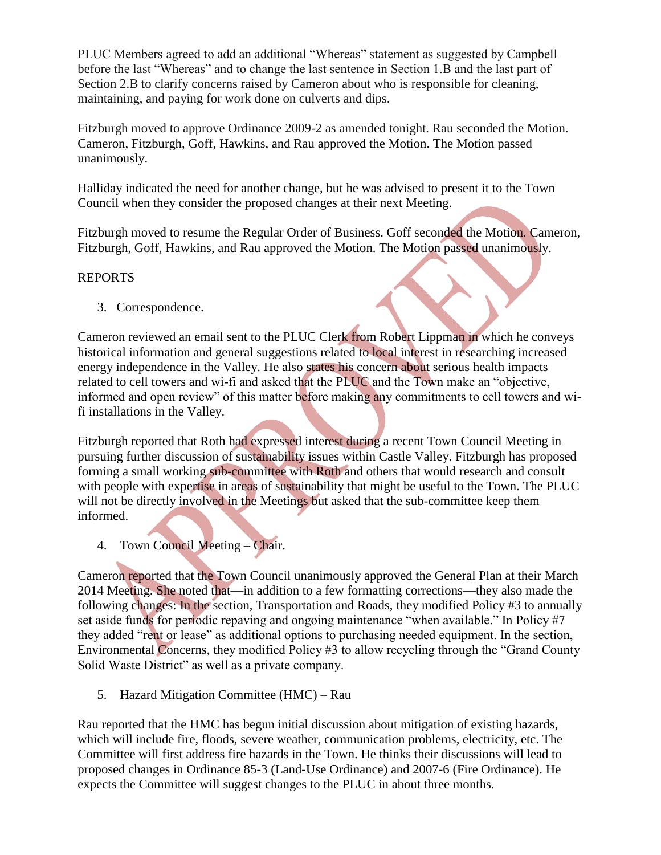PLUC Members agreed to add an additional "Whereas" statement as suggested by Campbell before the last "Whereas" and to change the last sentence in Section 1.B and the last part of Section 2.B to clarify concerns raised by Cameron about who is responsible for cleaning, maintaining, and paying for work done on culverts and dips.

Fitzburgh moved to approve Ordinance 2009-2 as amended tonight. Rau seconded the Motion. Cameron, Fitzburgh, Goff, Hawkins, and Rau approved the Motion. The Motion passed unanimously.

Halliday indicated the need for another change, but he was advised to present it to the Town Council when they consider the proposed changes at their next Meeting.

Fitzburgh moved to resume the Regular Order of Business. Goff seconded the Motion. Cameron, Fitzburgh, Goff, Hawkins, and Rau approved the Motion. The Motion passed unanimously.

### REPORTS

3. Correspondence.

Cameron reviewed an email sent to the PLUC Clerk from Robert Lippman in which he conveys historical information and general suggestions related to local interest in researching increased energy independence in the Valley. He also states his concern about serious health impacts related to cell towers and wi-fi and asked that the PLUC and the Town make an "objective, informed and open review" of this matter before making any commitments to cell towers and wifi installations in the Valley.

Fitzburgh reported that Roth had expressed interest during a recent Town Council Meeting in pursuing further discussion of sustainability issues within Castle Valley. Fitzburgh has proposed forming a small working sub-committee with Roth and others that would research and consult with people with expertise in areas of sustainability that might be useful to the Town. The PLUC will not be directly involved in the Meetings but asked that the sub-committee keep them informed.

4. Town Council Meeting – Chair.

Cameron reported that the Town Council unanimously approved the General Plan at their March 2014 Meeting. She noted that—in addition to a few formatting corrections—they also made the following changes: In the section, Transportation and Roads, they modified Policy #3 to annually set aside funds for periodic repaving and ongoing maintenance "when available." In Policy #7 they added "rent or lease" as additional options to purchasing needed equipment. In the section, Environmental Concerns, they modified Policy #3 to allow recycling through the "Grand County Solid Waste District" as well as a private company.

5. Hazard Mitigation Committee (HMC) – Rau

Rau reported that the HMC has begun initial discussion about mitigation of existing hazards, which will include fire, floods, severe weather, communication problems, electricity, etc. The Committee will first address fire hazards in the Town. He thinks their discussions will lead to proposed changes in Ordinance 85-3 (Land-Use Ordinance) and 2007-6 (Fire Ordinance). He expects the Committee will suggest changes to the PLUC in about three months.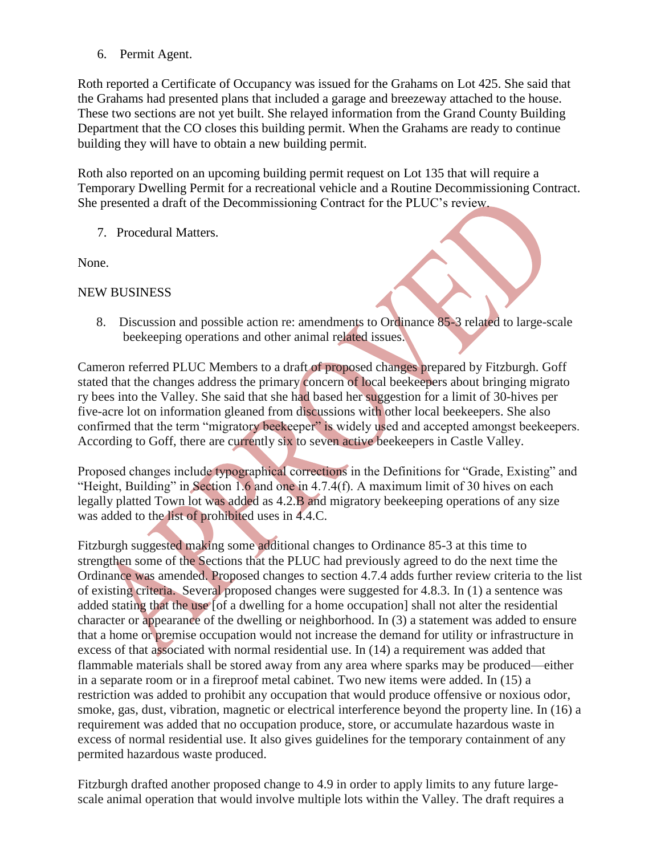6. Permit Agent.

Roth reported a Certificate of Occupancy was issued for the Grahams on Lot 425. She said that the Grahams had presented plans that included a garage and breezeway attached to the house. These two sections are not yet built. She relayed information from the Grand County Building Department that the CO closes this building permit. When the Grahams are ready to continue building they will have to obtain a new building permit.

Roth also reported on an upcoming building permit request on Lot 135 that will require a Temporary Dwelling Permit for a recreational vehicle and a Routine Decommissioning Contract. She presented a draft of the Decommissioning Contract for the PLUC's review.

7. Procedural Matters.

None.

#### NEW BUSINESS

8. Discussion and possible action re: amendments to Ordinance 85-3 related to large-scale beekeeping operations and other animal related issues.

Cameron referred PLUC Members to a draft of proposed changes prepared by Fitzburgh. Goff stated that the changes address the primary concern of local beekeepers about bringing migrato ry bees into the Valley. She said that she had based her suggestion for a limit of 30-hives per five-acre lot on information gleaned from discussions with other local beekeepers. She also confirmed that the term "migratory beekeeper" is widely used and accepted amongst beekeepers. According to Goff, there are currently six to seven active beekeepers in Castle Valley.

Proposed changes include typographical corrections in the Definitions for "Grade, Existing" and "Height, Building" in Section 1.6 and one in 4.7.4(f). A maximum limit of 30 hives on each legally platted Town lot was added as 4.2.B and migratory beekeeping operations of any size was added to the list of prohibited uses in 4.4.C.

Fitzburgh suggested making some additional changes to Ordinance 85-3 at this time to strengthen some of the Sections that the PLUC had previously agreed to do the next time the Ordinance was amended. Proposed changes to section 4.7.4 adds further review criteria to the list of existing criteria. Several proposed changes were suggested for 4.8.3. In (1) a sentence was added stating that the use [of a dwelling for a home occupation] shall not alter the residential character or appearance of the dwelling or neighborhood. In (3) a statement was added to ensure that a home or premise occupation would not increase the demand for utility or infrastructure in excess of that associated with normal residential use. In (14) a requirement was added that flammable materials shall be stored away from any area where sparks may be produced—either in a separate room or in a fireproof metal cabinet. Two new items were added. In (15) a restriction was added to prohibit any occupation that would produce offensive or noxious odor, smoke, gas, dust, vibration, magnetic or electrical interference beyond the property line. In (16) a requirement was added that no occupation produce, store, or accumulate hazardous waste in excess of normal residential use. It also gives guidelines for the temporary containment of any permited hazardous waste produced.

Fitzburgh drafted another proposed change to 4.9 in order to apply limits to any future largescale animal operation that would involve multiple lots within the Valley. The draft requires a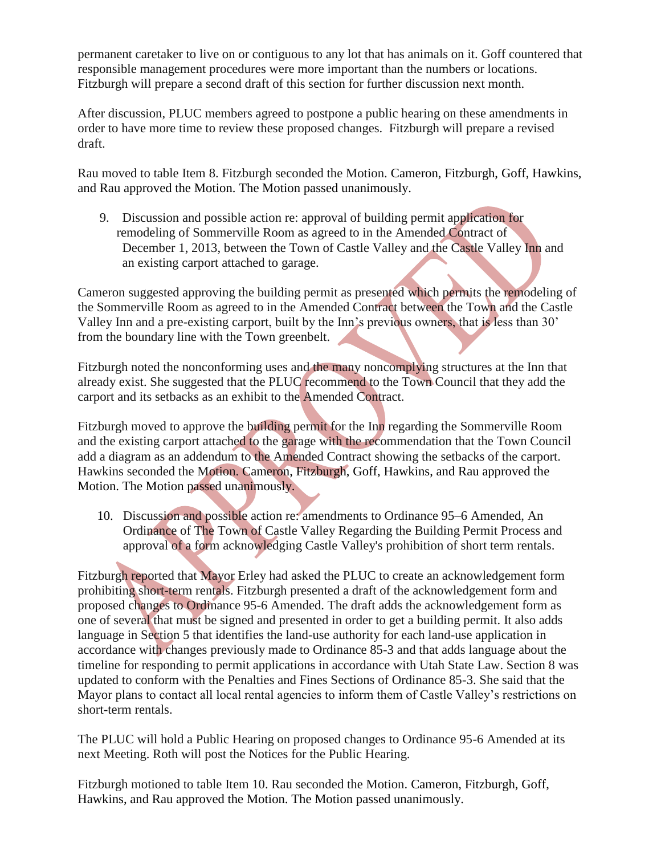permanent caretaker to live on or contiguous to any lot that has animals on it. Goff countered that responsible management procedures were more important than the numbers or locations. Fitzburgh will prepare a second draft of this section for further discussion next month.

After discussion, PLUC members agreed to postpone a public hearing on these amendments in order to have more time to review these proposed changes. Fitzburgh will prepare a revised draft.

Rau moved to table Item 8. Fitzburgh seconded the Motion. Cameron, Fitzburgh, Goff, Hawkins, and Rau approved the Motion. The Motion passed unanimously.

9. Discussion and possible action re: approval of building permit application for remodeling of Sommerville Room as agreed to in the Amended Contract of December 1, 2013, between the Town of Castle Valley and the Castle Valley Inn and an existing carport attached to garage.

Cameron suggested approving the building permit as presented which permits the remodeling of the Sommerville Room as agreed to in the Amended Contract between the Town and the Castle Valley Inn and a pre-existing carport, built by the Inn's previous owners, that is less than 30' from the boundary line with the Town greenbelt.

Fitzburgh noted the nonconforming uses and the many noncomplying structures at the Inn that already exist. She suggested that the PLUC recommend to the Town Council that they add the carport and its setbacks as an exhibit to the Amended Contract.

Fitzburgh moved to approve the building permit for the Inn regarding the Sommerville Room and the existing carport attached to the garage with the recommendation that the Town Council add a diagram as an addendum to the Amended Contract showing the setbacks of the carport. Hawkins seconded the Motion. Cameron, Fitzburgh, Goff, Hawkins, and Rau approved the Motion. The Motion passed unanimously.

 10. Discussion and possible action re: amendments to Ordinance 95–6 Amended, An Ordinance of The Town of Castle Valley Regarding the Building Permit Process and approval of a form acknowledging Castle Valley's prohibition of short term rentals.

Fitzburgh reported that Mayor Erley had asked the PLUC to create an acknowledgement form prohibiting short-term rentals. Fitzburgh presented a draft of the acknowledgement form and proposed changes to Ordinance 95-6 Amended. The draft adds the acknowledgement form as one of several that must be signed and presented in order to get a building permit. It also adds language in Section 5 that identifies the land-use authority for each land-use application in accordance with changes previously made to Ordinance 85-3 and that adds language about the timeline for responding to permit applications in accordance with Utah State Law. Section 8 was updated to conform with the Penalties and Fines Sections of Ordinance 85-3. She said that the Mayor plans to contact all local rental agencies to inform them of Castle Valley's restrictions on short-term rentals.

The PLUC will hold a Public Hearing on proposed changes to Ordinance 95-6 Amended at its next Meeting. Roth will post the Notices for the Public Hearing.

Fitzburgh motioned to table Item 10. Rau seconded the Motion. Cameron, Fitzburgh, Goff, Hawkins, and Rau approved the Motion. The Motion passed unanimously.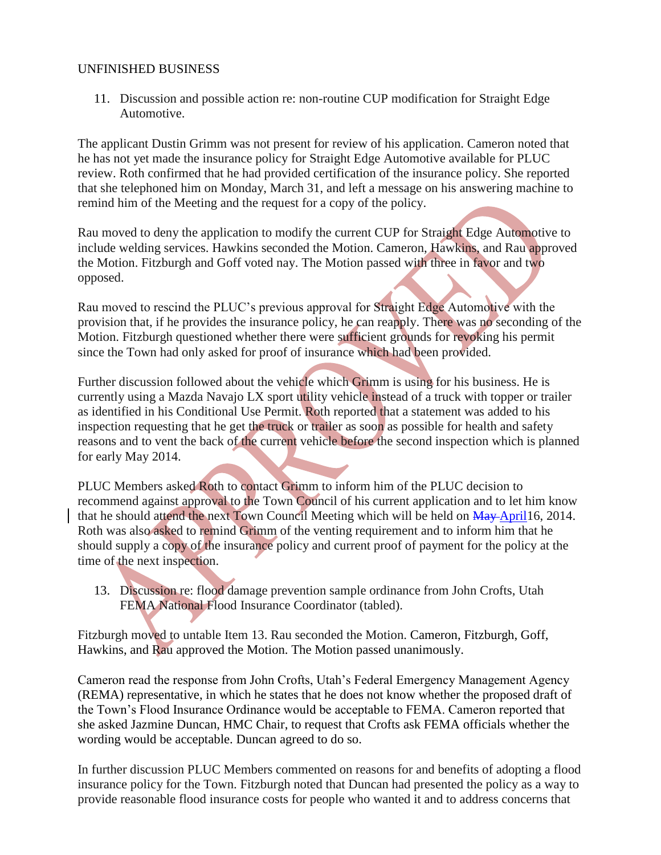### UNFINISHED BUSINESS

 11. Discussion and possible action re: non-routine CUP modification for Straight Edge Automotive.

The applicant Dustin Grimm was not present for review of his application. Cameron noted that he has not yet made the insurance policy for Straight Edge Automotive available for PLUC review. Roth confirmed that he had provided certification of the insurance policy. She reported that she telephoned him on Monday, March 31, and left a message on his answering machine to remind him of the Meeting and the request for a copy of the policy.

Rau moved to deny the application to modify the current CUP for Straight Edge Automotive to include welding services. Hawkins seconded the Motion. Cameron, Hawkins, and Rau approved the Motion. Fitzburgh and Goff voted nay. The Motion passed with three in favor and two opposed.

Rau moved to rescind the PLUC's previous approval for Straight Edge Automotive with the provision that, if he provides the insurance policy, he can reapply. There was no seconding of the Motion. Fitzburgh questioned whether there were sufficient grounds for revoking his permit since the Town had only asked for proof of insurance which had been provided.

Further discussion followed about the vehicle which Grimm is using for his business. He is currently using a Mazda Navajo LX sport utility vehicle instead of a truck with topper or trailer as identified in his Conditional Use Permit. Roth reported that a statement was added to his inspection requesting that he get the truck or trailer as soon as possible for health and safety reasons and to vent the back of the current vehicle before the second inspection which is planned for early May 2014.

PLUC Members asked Roth to contact Grimm to inform him of the PLUC decision to recommend against approval to the Town Council of his current application and to let him know that he should attend the next Town Council Meeting which will be held on May April16, 2014. Roth was also asked to remind Grimm of the venting requirement and to inform him that he should supply a copy of the insurance policy and current proof of payment for the policy at the time of the next inspection.

 13. Discussion re: flood damage prevention sample ordinance from John Crofts, Utah FEMA National Flood Insurance Coordinator (tabled).

Fitzburgh moved to untable Item 13. Rau seconded the Motion. Cameron, Fitzburgh, Goff, Hawkins, and Rau approved the Motion. The Motion passed unanimously.

Cameron read the response from John Crofts, Utah's Federal Emergency Management Agency (REMA) representative, in which he states that he does not know whether the proposed draft of the Town's Flood Insurance Ordinance would be acceptable to FEMA. Cameron reported that she asked Jazmine Duncan, HMC Chair, to request that Crofts ask FEMA officials whether the wording would be acceptable. Duncan agreed to do so.

In further discussion PLUC Members commented on reasons for and benefits of adopting a flood insurance policy for the Town. Fitzburgh noted that Duncan had presented the policy as a way to provide reasonable flood insurance costs for people who wanted it and to address concerns that